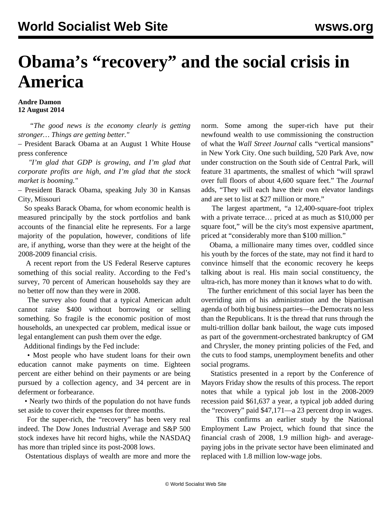## **Obama's "recovery" and the social crisis in America**

## **Andre Damon 12 August 2014**

 *"The good news is the economy clearly is getting stronger… Things are getting better."*

– President Barack Obama at an August 1 White House press conference

 *"I'm glad that GDP is growing, and I'm glad that corporate profits are high, and I'm glad that the stock market is booming."*

– President Barack Obama, speaking July 30 in Kansas City, Missouri

 So speaks Barack Obama, for whom economic health is measured principally by the stock portfolios and bank accounts of the financial elite he represents. For a large majority of the population, however, conditions of life are, if anything, worse than they were at the height of the 2008-2009 financial crisis.

 A recent report from the US Federal Reserve captures something of this social reality. According to the Fed's survey, 70 percent of American households say they are no better off now than they were in 2008.

 The survey also found that a typical American adult cannot raise \$400 without borrowing or selling something. So fragile is the economic position of most households, an unexpected car problem, medical issue or legal entanglement can push them over the edge.

Additional findings by the Fed include:

 • Most people who have student loans for their own education cannot make payments on time. Eighteen percent are either behind on their payments or are being pursued by a collection agency, and 34 percent are in deferment or forbearance.

 • Nearly two thirds of the population do not have funds set aside to cover their expenses for three months.

 For the super-rich, the "recovery" has been very real indeed. The Dow Jones Industrial Average and S&P 500 stock indexes have hit record highs, while the NASDAQ has more than tripled since its post-2008 lows.

Ostentatious displays of wealth are more and more the

norm. Some among the super-rich have put their newfound wealth to use commissioning the construction of what the *Wall Street Journal* calls "vertical mansions" in New York City. One such building, 520 Park Ave, now under construction on the South side of Central Park, will feature 31 apartments, the smallest of which "will sprawl over full floors of about 4,600 square feet." The *Journal* adds, "They will each have their own elevator landings and are set to list at \$27 million or more."

 The largest apartment, "a 12,400-square-foot triplex with a private terrace… priced at as much as \$10,000 per square foot," will be the city's most expensive apartment, priced at "considerably more than \$100 million."

 Obama, a millionaire many times over, coddled since his youth by the forces of the state, may not find it hard to convince himself that the economic recovery he keeps talking about is real. His main social constituency, the ultra-rich, has more money than it knows what to do with.

 The further enrichment of this social layer has been the overriding aim of his administration and the bipartisan agenda of both big business parties—the Democrats no less than the Republicans. It is the thread that runs through the multi-trillion dollar bank bailout, the wage cuts imposed as part of the government-orchestrated bankruptcy of GM and Chrysler, the money printing policies of the Fed, and the cuts to food stamps, unemployment benefits and other social programs.

 Statistics presented in a report by the Conference of Mayors Friday show the results of this process. The report notes that while a typical job lost in the 2008-2009 recession paid \$61,637 a year, a typical job added during the "recovery" paid \$47,171—a 23 percent drop in wages.

 This confirms an earlier study by the National Employment Law Project, which found that since the financial crash of 2008, 1.9 million high- and averagepaying jobs in the private sector have been eliminated and replaced with 1.8 million low-wage jobs.